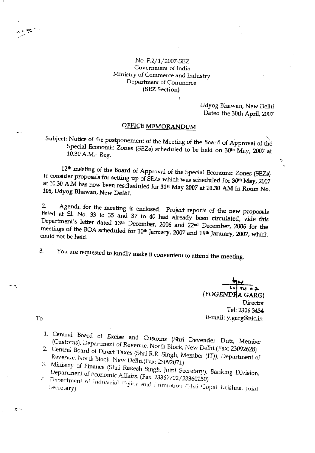## No. F.2/1/2007-SEZ Government of India Ministry of Commerce and Industry Department of Commerce (SEZ Section)

Udyog Bhawan, New Delhi Dated the 30th April, 2007

ኊ

# OFFICE MEMORANDUM

Subject: Notice of the postponement of the Meeting of the Board of Approval of the Special Economic Zones (SEZs) scheduled to be held on 30<sup>th</sup> May, 2007 at 10.30 A.M.- Reg.

12<sup>th</sup> meeting of the Board of Approval of the Special Economic Zones (SEZs) to consider proposals for setting up of SEZs which was scheduled for 30th May, 2007 at 10.30 A.M has now been rescheduled for 31<sup>st</sup> May 2007 at 10.30 AM in Room No. 108, Udyog Bhawan, New Delhi.

Agenda for the meeting is enclosed. Project reports of the new proposals  $2.$ listed at Sl. No. 33 to 35 and 37 to 40 had already been circulated, vide this Department's letter dated 13th December, 2006 and 22nd December, 2006 for the meetings of the BOA scheduled for 10<sup>th</sup> January, 2007 and 19<sup>th</sup> January, 2007, which could not be held.

You are requested to kindly make it convenient to attend the meeting. 3.

> น • 2 (YOGENDRA GARG) **Director** Tel: 2306 3434 E-mail: y.garg@nic.in

To

 $-$ 

 $\tau$  :

- 1. Central Board of Excise and Customs (Shri Devender Dutt, Member (Customs), Department of Revenue, North Block, New Delhi.(Fax: 23092628)
- 2. Central Board of Direct Taxes (Shri R.R. Singh, Member (IT)), Department of Revenue, North Block, New Delhi.(Fax: 23092071)
- 3. Ministry of Finance (Shri Rakesh Singh, Joint Secretary), Banking Division, Department of Economic Affairs. (Fax: 23367702/23360250)
- Department of Industrial Policy and Fromotion (Shri Gopal Krishna, Joint  $\Lambda$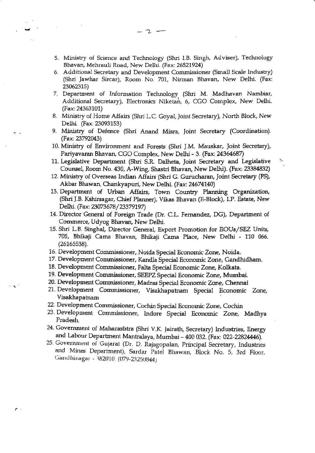5. Ministry of Science and Technology (Shri I.B. Singh, Adviser), Technology Bhavan, Mehrauli Road, New Delhi. (Fax: 26521924)

 $-2$   $-$ 

- 6, Additional Secretary and Development Comrnissioner (Small Scale Industry) (Shri Jawhar Sircar), Room No. 701, Nirman Bhavan, New Delhi. (Fax: 2306231s)
- 7. Department of Information Technology (Shri M. Madhavan Nambiar, Additional Secretary), Electronics Niketan, 6, CGO Complex, New Delhi. (Fax:24363-101)
- 8. Ministry of Home Affairs (Shri L.C. Goyal, Joint Secretary), North Block, New Delhi. (Fax: 23093153)
- 9. Ministry of Defence (Shri Anand Misra, Joint Secretary (Coordination). (Fax: 23792043)
- 10. Ministry of Environment and Forests (Shri J.M. Mauskar, Joint Secretary), Pariyavaran Bhavan, CGO Complex, New Delhi - 3. (Fax: 24364687)
- 11. Legislative Department (Shri S.R. Dalheta, Joint Secretary and Legislative Counsel, Room No. 430, A-Wing, Shastri Bhavan, New Delhi). (Fax: 23384832)

 $\mathcal{E}^{(2)}$ 

- 12. Ministry of Overseas Indian Affairs (Shri G. Gurucharan, Joint Secretary (PS), Akbar Bhawan, Chankyapuri, New Delhi. (Fax: 24674140)
- 13. Department of Urban Affairs, Town Country Planning Organization, (Shri J.B. Kshirsagar, Chief Planner), Vikas Bhavan (E-Block), I.P. Estate, New Delhi. (Fax: 23073678 / 23379197)
- 14. Director General of Foreign Trade (Dr. C.L. Fernandez, DG), Department of Commerce, Udyog Bhavan, New Delhi.
- 15. Shri L.B. Singhal, Director General, Export Promotion for EOUs/ SEZ Units, 705, Bhikaji Cama Bhavan, Bhikaji Cama Place, New Delhi - 110 066. (26L65538).
- 16. Development Conrmissioner, Noida Special Economic Zone, Noida.
- 17. Development Commissioner, Kandla Special Economic Zone, Gandhidham.
- 18. Development Commissioner, Falta Special Economic Zone, Kolkata.

- ∙⊾ `

 $\mathcal{F}$ 

- 19. Development Commissioner, SEEPZ Special Economic Zone, Mumbai.
- 20. Development Commissioner, Madras Special Economic Zone, Chennai
- 21. Development Commissioner, Visakhapatnam Special Economic Zone, Visakhapatnam
- 22. Development Commissioner, Cochin Special Economic Zone, Cochin
- 23. Development Commissioner, Indore Special Economic Zone, Madhya Pradesh.
- 24. Government of Maharashtra (Shri V.K. Jairath, Secretary) Industries, Energy and Labour Department Mantralaya, Mumbai - 400 032. (Fax: 022-22824446).
- $25.$  Government of Gujarat (Dr. D. Rajagopalan, Principal Secretary, Industries and Mines Department), Sardar Patel Bhawan, Block No. 5, 3rd Floor, Gandhinagar - 382010. (079-23250844)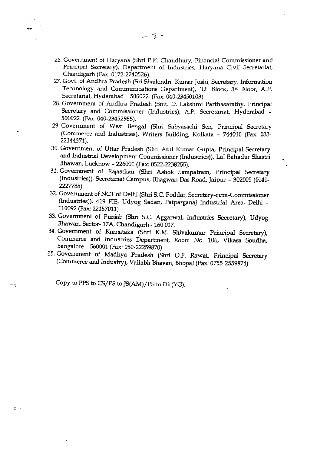- 26. Government of Haryana (Shri P.K. Chaudhury, Financial Commissioner and Principal Secretary), Department of Industries, Haryana Civil Secretariat, Chandigarh (Fax: 0172-2740526).
- 27. Govt. of Andlura Pradesh (Sri Shailendra Kumar Joshi, Secretary, Information Technology and Communications Department), 'D' Block, 3rd Floor, A.P. Secretariat, Hyderabad - 500022. (Fax: 040-23450103)
- 28. Government of Andhra Pradesh (Smt. D. Lakshmi Parthasarathy, Principal Secretary and Commissioner (Industries), A.P. Secretariat, Hyderabad -500022. (Fax: 040-23452985).
- 29. Government of West Bengal (Shri Sabyasachi Sen, Principal Secretary (Commerce and Industries), Writers Building, Kolkata - 744010 (Fax: 033-22144371).
- 30. Government of Uttar Pradesh (Shri Atul Kumar Gupta, Principal Secretary and Industrial Development Commissioner (Industries)), Lal Bahadur Shastri Bhawan, Lucknow - 226001 (Fax: 0522-2238255).

N

- 31. Government of Rajasthan (Shri Ashok Sampatram, principal Secretary (Industries)), Secretariat Campus, Bhagwan Das Road, Jaipur - 302005 (0141-2227788)
- 32. Government of NCT of Delhi (Shri S.C. Poddar, Secretary-cum-Commissioner (Industries)), 419 FIE, Udyog Sadan, Patparganaj Industrial Area, Delhi -110092 (Fax: 22157011)
- 33. Government of Punjab (Shri S.C. Aggarwal, Industries Secretary), Udyog Bhawan, Sector- 17A, Chandigarh - 160 Ol7.
- 34. Government of Kamataka (Shri K.M. Shivakumar principal Secretary), Commerce and Industries Department, Room No. 106, Vikasa Soudha, Barrgalore - 560001 (Fax: 080-22259870)
- 35. Government of Madhya Pradesh (Shri O.P. Rawat, Principal Secretary (Commerce and Industry), Vallabh Bhavan, Bhopal (Fax: 0755-2559974)

Copy to PPS to CS/PS to JS(AM)/PS to Dir(YG).

÷÷,

大一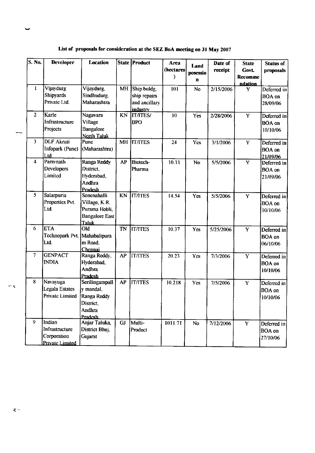| S. No.                  | <b>Developer</b>                                                   | Location                                                                               |           | State   Product                                          | Area<br>(hectares)<br>) | Land<br>posessio<br>n | Date of<br>receipt | <b>State</b><br>Govt.<br><b>Recomme</b><br>ndation | <b>Status of</b><br>proposals            |
|-------------------------|--------------------------------------------------------------------|----------------------------------------------------------------------------------------|-----------|----------------------------------------------------------|-------------------------|-----------------------|--------------------|----------------------------------------------------|------------------------------------------|
| $\mathbf{1}$            | Vijaydurg<br><b>Shipyards</b><br>Private Ltd.                      | Vijaydurg,<br>Sindhudurg,<br>Maharashtra                                               | MH        | Ship buldg,<br>ship repairs<br>and ancillary<br>industry | 101                     | No                    | 2/15/2006          | Y                                                  | Deferred in<br><b>BOA</b> on<br>28/09/06 |
| $\mathbf{2}$            | Karle<br>Infrastructure<br>Projects                                | Nagavara<br>Village<br>Bangalore<br>North Taluk                                        | KN        | <b>IT/ITES/</b><br><b>BPO</b>                            | 10                      | Yes                   | 2/28/2006          | Y                                                  | Deferred in<br><b>BOA</b> on<br>10/10/06 |
| $\overline{3}$          | <b>DLF</b> Akruti<br>Infopark (Pune)<br>Ltd.                       | Pune<br>(Maharashtra)                                                                  | MH        | <b>IT/ITES</b>                                           | 24                      | Yes                   | 3/1/2006           | Y                                                  | Deferred in<br><b>BOA</b> on<br>21/09/06 |
| $\overline{\mathbf{4}}$ | Parsynath<br>Developers<br>Limited                                 | Ranga Reddy<br>District.<br>Hyderabad,<br>Andhra<br>Pradesh                            | AP        | Biotech-<br>Pharma                                       | 10.11                   | No                    | 5/5/2006           | $\overline{\mathbf{Y}}$                            | Deferred in<br><b>BOA</b> on<br>21/09/06 |
| 5                       | Salarpuria<br>Properties Pvt.<br>Ltd.                              | Sonenahalli<br>Village, K.R.<br>Purama Hobli,<br><b>Bangalore East</b><br><b>Taluk</b> | KN        | <b>ITATES</b>                                            | 14.54                   | Yes                   | 5/5/2006           | Y                                                  | Deferred in<br><b>BOA</b> on<br>10/10/06 |
| 6                       | <b>ETA</b><br>Technopark Pvt. Mahabalipura<br>Ltd.                 | Old<br>m Road.<br>Chennai                                                              | <b>TN</b> | <b>IT/ITES</b>                                           | 10.37                   | Yes                   | 5/25/2006          | Y                                                  | Deferred in<br><b>BOA</b> on<br>06/10/06 |
| $\overline{7}$          | <b>GENPACT</b><br><b>INDIA</b>                                     | Ranga Reddy,<br>Hyderabad,<br>Andhra<br>Pradesh                                        | AP        | <b>IT/ITES</b>                                           | 20.23                   | Yes                   | 7/3/2006           | Y                                                  | Deferred in<br><b>BOA</b> on<br>10/10/06 |
| 8                       | Navayuga<br><b>Legala Estates</b><br>Private Limited   Ranga Reddy | Serilingampall<br>y mandal,<br>District,<br>Andhra<br>Pradesh                          | AP        | <b>IT/ITES</b>                                           | 10.218                  | Yes                   | 7/5/2006           | Y                                                  | Deferred in<br>BOA on<br>10/10/06        |
| $\overline{9}$          | Indian<br>Infrastructure<br>Corporation<br><b>Private Limited</b>  | Anjar Taluka,<br>District Bhuj,<br>Gujarat                                             | <b>GJ</b> | Multi-<br>Product                                        | 1011.71                 | No                    | 7/12/2006          | $\overline{Y}$                                     | Deferred in<br>BOA on<br>27/10/06        |

List of proposals for consideration at the SEZ BoA meeting on 31 May 2007

 $z^{\perp}$ 

 $\pm \frac{1}{\sqrt{2}}$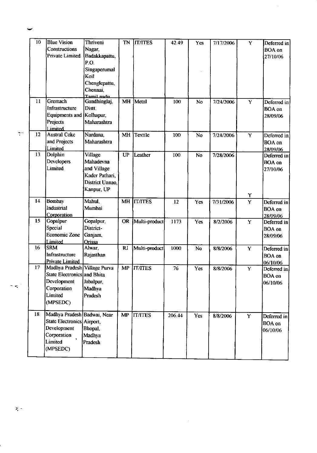| 10 | <b>Blue Vision</b><br><b>Constructions</b><br><b>Private Limited</b> | Thriveni<br>Nagar,<br>Badakkapattu, | TN        | <b>IT/ITES</b> | 42.49  | Yes        | 7/17/2006 | Y                       | Deferred in<br><b>BOA</b> on<br>27/10/06 |
|----|----------------------------------------------------------------------|-------------------------------------|-----------|----------------|--------|------------|-----------|-------------------------|------------------------------------------|
|    |                                                                      | P.O.<br>Singaperumal                |           |                |        |            |           |                         |                                          |
|    |                                                                      | Koil                                |           |                |        |            |           |                         |                                          |
|    |                                                                      | Chenglepattu,<br>Chennai,           |           |                |        |            |           |                         |                                          |
|    |                                                                      | Tamil nadu                          |           |                |        |            |           |                         |                                          |
| 11 | Gremach                                                              | Gandhinglaj,                        | MH        | Metal          | 100    | No         | 7/24/2006 | Ÿ                       | Deferred in                              |
|    | Infrastructure                                                       | Distt.                              |           |                |        |            |           |                         | <b>BOA</b> on                            |
|    | <b>Equipments and</b>                                                | Kolhapur,                           |           |                |        |            |           |                         | 28/09/06                                 |
|    | Projects                                                             | Maharashtra                         |           |                |        |            |           |                         |                                          |
| 12 | Limited<br><b>Austral Coke</b>                                       | Nardana,                            | <b>MH</b> | Textile        | 100    | No         | 7/24/2006 | Y                       | Deferred in                              |
|    | and Projects                                                         | Maharashtra                         |           |                |        |            |           |                         | <b>BOA</b> on                            |
|    | Limited                                                              |                                     |           |                |        |            |           |                         | 28/09/06                                 |
| 13 | Dolphin                                                              | <b>Village</b>                      | UP        | Leather        | 100    | <b>No</b>  | 7/28/2006 |                         | Deferred in                              |
|    | Developers                                                           | Mahadevna                           |           |                |        |            |           |                         | <b>BOA</b> on                            |
|    | Limited                                                              | and Village                         |           |                |        |            |           |                         | 27/10/06                                 |
|    |                                                                      | Kader Pathari,                      |           |                |        |            |           |                         |                                          |
|    |                                                                      | District Unnao.                     |           |                |        |            |           |                         |                                          |
|    |                                                                      | Kanpur, UP                          |           |                |        |            |           | Y                       |                                          |
| 14 | Bombay                                                               | Mahul,                              | <b>MH</b> | <b>IT/ITES</b> | 12     | Yes        | 7/31/2006 | $\overline{\mathbf{Y}}$ | Deferred in                              |
|    | Industrial                                                           | Mumbai                              |           |                |        |            |           |                         | <b>BOA</b> on                            |
|    | Corporation                                                          |                                     |           |                |        |            |           |                         | 28/09/06                                 |
| 15 | Gopalpur                                                             | Gopalpur,                           | <b>OR</b> | Multi-product  | 1173   | Yes        | 8/2/2006  | $\overline{Y}$          | Deferred in                              |
|    | Special                                                              | District-                           |           |                |        |            |           |                         | <b>BOA</b> on                            |
|    | <b>Economic Zone</b>                                                 | Ganjam,                             |           |                |        |            |           |                         | 28/09/06                                 |
| 16 | Limited<br><b>SRM</b>                                                | <b>Orissa</b><br>Alwar.             | RJ        | Multi-product  | 1000   | No         |           |                         |                                          |
|    | Infrastructure                                                       | Rajasthan                           |           |                |        |            | 8/8/2006  | Y                       | Deferred in                              |
|    | Private Limited                                                      |                                     |           |                |        |            |           |                         | <b>BOA</b> on                            |
| 17 | Madhya Pradesh Village Purva                                         |                                     |           | MP IT/ITES     | 76     | Yes        | 8/8/2006  | Y                       | 06/10/06<br>Deferred in                  |
|    | State Electronics and Bhita                                          |                                     |           |                |        |            |           |                         | <b>BOA</b> on                            |
|    | Development                                                          | Jabalpur,                           |           |                |        |            |           |                         | 06/10/06                                 |
|    | Corporation                                                          | Madhya                              |           |                |        |            |           |                         |                                          |
|    | Limited                                                              | Pradesh                             |           |                |        |            |           |                         |                                          |
|    | (MPSEDC)                                                             |                                     |           |                |        |            |           |                         |                                          |
| 18 | Madhya Pradesh Badwai, Near                                          |                                     | MP        | <b>IT/ITES</b> | 206.44 | <b>Yes</b> | 8/8/2006  | $\overline{Y}$          | Deferred in                              |
|    | State Electronics Airport,                                           |                                     |           |                |        |            |           |                         | <b>BOA</b> on                            |
|    |                                                                      | Bhopal,                             |           |                |        |            |           |                         | 06/10/06                                 |
|    | Development                                                          |                                     |           |                |        |            |           |                         |                                          |
|    | Corporation                                                          | Madhya                              |           |                |        |            |           |                         |                                          |
|    | Limited                                                              | Pradesh                             |           |                |        |            |           |                         |                                          |

 $\mathcal{L}^{\text{max}}_{\text{max}}$  ,  $\mathcal{L}^{\text{max}}_{\text{max}}$ 

 $\frac{1}{2}$ 

 $\widetilde{\mathbb{C}}$ 

 $\sigma_{\rm s}$ 

 $\tau$  -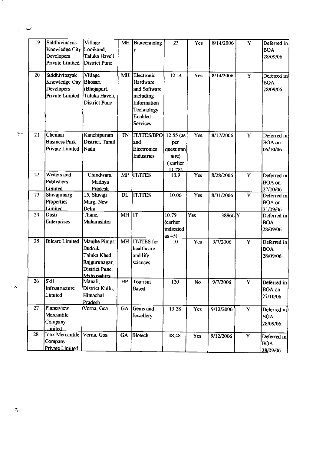|                    | 19 | Siddhivinayak          | Village              |           | MH Biotechnolog        | 23          | Yes        | 8/14/2006 | $\mathbf Y$             | Deferred in   |
|--------------------|----|------------------------|----------------------|-----------|------------------------|-------------|------------|-----------|-------------------------|---------------|
|                    |    | Knowledge City         | Lonikand.            |           |                        |             |            |           |                         | <b>BOA</b>    |
|                    |    | Developers             | Taluka Haveli,       |           |                        |             |            |           |                         | 28/09/06      |
|                    |    | <b>Private Limited</b> | <b>District Pune</b> |           |                        |             |            |           |                         |               |
|                    | 20 | Siddhivinayak          | Village              | MH        | Electronic             | 12.14       | Yes        | 8/14/2006 | $\mathbf Y$             | Deferred in   |
|                    |    | Knowledge City         | Bhosari              |           | Hardware               |             |            |           |                         | <b>BOA</b>    |
|                    |    | Developers             | (Bhojapur),          |           | and Software           |             |            |           |                         | 28/09/06      |
|                    |    | <b>Private Limited</b> | Taluka Haveli,       |           | including              |             |            |           |                         |               |
|                    |    |                        | <b>District Pune</b> |           | Information            |             |            |           |                         |               |
|                    |    |                        |                      |           | <b>Technology</b>      |             |            |           |                         |               |
|                    |    |                        |                      |           | Enabled                |             |            |           |                         |               |
|                    |    |                        |                      |           | <b>Services</b>        |             |            |           |                         |               |
| $\overline{\cdot}$ | 21 | Chennai                | Kanchipuram          | <b>TN</b> | <b>IT/ITES/BPO</b>     | $12.55$ (as | Yes        | 8/17/2006 | Y                       | Deferred in   |
|                    |    | <b>Business Park</b>   | District, Tamil      |           | and                    | рег         |            |           |                         | <b>BOA</b> on |
|                    |    | <b>Private Limited</b> | Nadu                 |           | <b>Electronics</b>     | questionn   |            |           |                         | 06/10/06      |
|                    |    |                        |                      |           | <b>Industries</b>      | aire)       |            |           |                         |               |
|                    |    |                        |                      |           |                        | (earlier    |            |           |                         |               |
|                    |    |                        |                      |           |                        | 11.78       |            |           |                         |               |
|                    | 22 | Writers and            | Chindwara,           | <b>MP</b> | <b>ITATES</b>          | 18.9        | Yes        | 8/28/2006 | $\mathbf Y$             | Deferred in   |
|                    |    | Publishers             | Madhya               |           |                        |             |            |           |                         | <b>BOA</b> on |
|                    |    | Limited                | Pradesh              |           |                        |             |            |           |                         | 27/10/06      |
|                    | 23 | Shivajimarg            | 15, Shivaji          | <b>DL</b> | <b>ITATES</b>          | 10.06       | <b>Yes</b> | 8/31/2006 | $\overline{\mathbf{Y}}$ | Deferred in   |
|                    |    | Properties             | Marg, New            |           |                        |             |            |           |                         | <b>BOA</b> on |
|                    | 24 | Limited<br>Dosti       | Delhi<br>Thane,      | MH        | $\overline{\text{lt}}$ | 10.79       | Yes        | 38966 Y   |                         | 21/09/06      |
|                    |    | Enterprises            | Maharashtra          |           |                        | (earlier    |            |           |                         | Deferred in   |
|                    |    |                        |                      |           |                        | indicated   |            |           |                         | <b>BOA</b>    |
|                    |    |                        |                      |           |                        | as $45$ )   |            |           |                         | 28/09/06      |
|                    | 25 | <b>Bilcare Limited</b> | Maujhe Pimpri        | MH        | <b>IT/ITES</b> for     | 10          | Yes        | 9/7/2006  | Y                       | Deferred in   |
|                    |    |                        | Budruk,              |           | healthcare             |             |            |           |                         | <b>BOA</b>    |
|                    |    |                        | Taluka Khed,         |           | and life               |             |            |           |                         | 28/09/06      |
|                    |    |                        | Rajgurunagar,        |           | sciences               |             |            |           |                         |               |
|                    |    |                        | District Pune,       |           |                        |             |            |           |                         |               |
|                    |    |                        | Maharashtra          |           |                        |             |            |           |                         |               |
|                    | 26 | <b>Skil</b>            | Manali,              | HP        | Tourism                | 120         | <b>No</b>  | 9/7/2006  | $\mathbf Y$             | Deferred in   |
| $\sim$ $\times$    |    | Infrastructure         | District Kullu,      |           | <b>Based</b>           |             |            |           |                         | <b>BOA</b> on |
|                    |    | Limited                | Himachal             |           |                        |             |            |           |                         | 27/10/06      |
|                    |    |                        | Pradesh              |           |                        |             |            |           |                         |               |
|                    | 27 | Planetview             | Verna, Goa           | GA        | Gems and               | 13.28       | Yes        | 9/12/2006 | $\mathbf Y$             | Deferred in   |
|                    |    | Mercantile             |                      |           | Jewellery              |             |            |           |                         | <b>BOA</b>    |
|                    |    | Company                |                      |           |                        |             |            |           |                         | 28/09/06      |
|                    | 28 | Limited                |                      |           |                        |             |            |           |                         |               |
|                    |    | Inox Mercantile        | Verna, Goa           | GA        | <b>Biotech</b>         | 48.48       | Yes        | 9/12/2006 | $\overline{\mathbf{Y}}$ | Deferred in   |
|                    |    | Company                |                      |           |                        |             |            |           |                         | <b>BOA</b>    |
|                    |    | <b>Private Limited</b> |                      |           |                        |             |            |           |                         | 28/09/06      |

 $\label{eq:2.1} \frac{1}{\sqrt{2}}\int_{0}^{\infty}\frac{1}{\sqrt{2\pi}}\left(\frac{1}{\sqrt{2\pi}}\right)^{2\alpha} \frac{1}{\sqrt{2\pi}}\int_{0}^{\infty}\frac{1}{\sqrt{2\pi}}\left(\frac{1}{\sqrt{2\pi}}\right)^{\alpha} \frac{1}{\sqrt{2\pi}}\frac{1}{\sqrt{2\pi}}\int_{0}^{\infty}\frac{1}{\sqrt{2\pi}}\frac{1}{\sqrt{2\pi}}\frac{1}{\sqrt{2\pi}}\frac{1}{\sqrt{2\pi}}\frac{1}{\sqrt{2\pi}}\frac{1}{\sqrt{2\pi}}$ 

- 11

 $\frac{1}{\sqrt{2}}$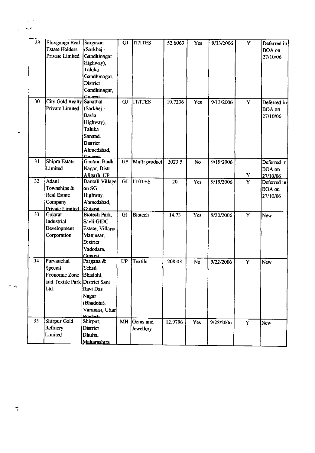|           | 29 | Shivganga Real                   | Sargasan            | <b>GJ</b>       | <b>IT/ITES</b> | 52.6063 | <b>Yes</b> | 9/13/2006 | Y                       | Deferred in   |
|-----------|----|----------------------------------|---------------------|-----------------|----------------|---------|------------|-----------|-------------------------|---------------|
|           |    | <b>Estate Holders</b>            | (Sarkhej -          |                 |                |         |            |           |                         | <b>BOA</b> on |
|           |    | <b>Private Limited</b>           | Gandhinagar         |                 |                |         |            |           |                         | 27/10/06      |
|           |    |                                  | Highway),           |                 |                |         |            |           |                         |               |
|           |    |                                  | Taluka              |                 |                |         |            |           |                         |               |
|           |    |                                  | Gandhinagar,        |                 |                |         |            |           |                         |               |
|           |    |                                  | District            |                 |                |         |            |           |                         |               |
|           |    |                                  | Gandhinagar,        |                 |                |         |            |           |                         |               |
|           |    |                                  | Guiarat             |                 |                |         |            |           |                         |               |
|           | 30 | <b>City Gold Realty Sanathal</b> |                     | <b>GJ</b>       | <b>IT/ITES</b> | 10.7236 | Yes        | 9/13/2006 | $\overline{Y}$          | Deferred in   |
|           |    | Private Limited                  | (Sarkhej -          |                 |                |         |            |           |                         | <b>BOA</b> on |
|           |    |                                  | Bavla               |                 |                |         |            |           |                         | 27/10/06      |
|           |    |                                  | Highway),           |                 |                |         |            |           |                         |               |
|           |    |                                  | <b>Taluka</b>       |                 |                |         |            |           |                         |               |
| $\sim 17$ |    |                                  | Sanand,             |                 |                |         |            |           |                         |               |
|           |    |                                  | District            |                 |                |         |            |           |                         |               |
|           |    |                                  | Ahmedabad,          |                 |                |         |            |           |                         |               |
|           |    |                                  | <b>Guiarat</b>      |                 |                |         |            |           |                         |               |
|           | 31 | Shipra Estate                    | <b>Gautam Budh</b>  | $\overline{UP}$ | Multi product  | 2023.5  | <b>No</b>  | 9/19/2006 |                         | Deferred in   |
|           |    | Limited                          | Nagar, Distt.       |                 |                |         |            |           |                         | <b>BOA</b> on |
|           |    |                                  | Aligarh, UP         |                 |                |         |            |           | Y                       | 27/10/06      |
|           | 32 | Adani                            | Dantali Village     | GJ              | <b>IT/ITES</b> | 20      | Yes        | 9/19/2006 | Y                       | Deferred in   |
|           |    | Townships &                      | on SG               |                 |                |         |            |           |                         | <b>BOA</b> on |
|           |    | Real Estate                      | Highway,            |                 |                |         |            |           |                         | 27/10/06      |
|           |    | Company                          | Ahmedabad           |                 |                |         |            |           |                         |               |
|           |    | Private Limited Guiarat          |                     |                 |                |         |            |           |                         |               |
|           | 33 | Gujarat                          | Biotech Park,       | <b>GJ</b>       | <b>Biotech</b> | 14.73   | Yes        | 9/20/2006 | Y                       | New           |
|           |    | Industrial                       | Savli GIDC          |                 |                |         |            |           |                         |               |
|           |    | Development                      | Estate, Village     |                 |                |         |            |           |                         |               |
|           |    | Corporation                      | Manjusar,           |                 |                |         |            |           |                         |               |
|           |    |                                  | District            |                 |                |         |            |           |                         |               |
|           |    |                                  | Vadodara,           |                 |                |         |            |           |                         |               |
|           |    |                                  | <b>Guiarat</b>      |                 |                |         |            |           |                         |               |
|           | 34 | Purvanchal                       | Pargana &           | <b>UP</b>       | <b>Textile</b> | 208.03  | <b>No</b>  | 9/22/2006 | $\overline{\mathbf{Y}}$ | <b>New</b>    |
|           |    | Special                          | <b>Tehsil</b>       |                 |                |         |            |           |                         |               |
|           |    | Economic Zone Bhadohi,           |                     |                 |                |         |            |           |                         |               |
|           |    | and Textile Park District Sant   |                     |                 |                |         |            |           |                         |               |
| ×.        |    | Ltd.                             | Ravi Das            |                 |                |         |            |           |                         |               |
|           |    |                                  | Nagar               |                 |                |         |            |           |                         |               |
|           |    |                                  |                     |                 |                |         |            |           |                         |               |
|           |    |                                  | (Bhadohi),          |                 |                |         |            |           |                         |               |
|           |    |                                  | Varanasi, Uttar     |                 |                |         |            |           |                         |               |
|           | 35 | Shirpur Gold                     | Pradech<br>Shirpur, | <b>MH</b>       | Gems and       |         |            |           |                         |               |
|           |    | Refinery                         | District            |                 |                | 12.9796 | Yes        | 9/22/2006 | Y                       | <b>New</b>    |
|           |    | Limited                          |                     |                 | Jewellery      |         |            |           |                         |               |
|           |    |                                  | Dhulia,             |                 |                |         |            |           |                         |               |
|           |    |                                  | Maharashtra         |                 |                |         |            |           |                         |               |

 $\langle \cdot, \cdot \rangle$  .  $\mathcal{L} \rightarrow \mathbf{S}$ 

 $\pi$  :

 $\sim$   $\lambda$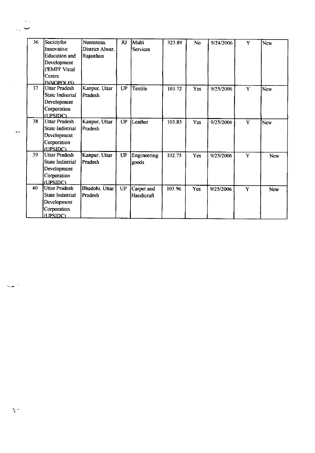| 36 | Societyfor<br>Innovative    | Neemrana,<br>District Alwar. | RJ        | Multi<br><b>Services</b> | 323.89 | No         | 9/24/2006 | Y | New        |
|----|-----------------------------|------------------------------|-----------|--------------------------|--------|------------|-----------|---|------------|
|    | <b>Education</b> and        |                              |           |                          |        |            |           |   |            |
|    |                             | Rajasthan                    |           |                          |        |            |           |   |            |
|    | Development                 |                              |           |                          |        |            |           |   |            |
|    | ('EMPI' Vittal              |                              |           |                          |        |            |           |   |            |
|    | Centre<br><b>INNOPOLIS)</b> |                              |           |                          |        |            |           |   |            |
| 37 | <b>Uttar Pradesh</b>        | Kanpur, Uttar                | UP        | Textile                  | 103.72 | Yes        | 9/25/2006 | Y | New        |
|    | State Indistrial            | Pradesh                      |           |                          |        |            |           |   |            |
|    | Development                 |                              |           |                          |        |            |           |   |            |
|    | Corporation                 |                              |           |                          |        |            |           |   |            |
|    | (UPSIDC)                    |                              |           |                          |        |            |           |   |            |
| 38 | <b>Uttar Pradesh</b>        | Kanpur, Uttar                | <b>UP</b> | Leather                  | 103.85 | <b>Yes</b> | 9/25/2006 | Y | New        |
|    | <b>State Indistrial</b>     | Pradesh                      |           |                          |        |            |           |   |            |
|    | Development                 |                              |           |                          |        |            |           |   |            |
|    | Corporation                 |                              |           |                          |        |            |           |   |            |
|    | (UPSIDC)                    |                              |           |                          |        |            |           |   |            |
| 39 | <b>Uttar Pradesh</b>        | Kanpur, Uttar                | <b>UP</b> | Engineering              | 102.75 | Yes        | 9/25/2006 | Y | <b>New</b> |
|    | <b>State Indistrial</b>     | Pradesh                      |           | goods                    |        |            |           |   |            |
|    | Development                 |                              |           |                          |        |            |           |   |            |
|    | Corporation                 |                              |           |                          |        |            |           |   |            |
|    | (UPSIDC)                    |                              |           |                          |        |            |           |   |            |
| 40 | <b>Uttar Pradesh</b>        | Bhadohi, Uttar               | UP        | Carpet and               | 103.96 | Yes        | 9/25/2006 | Y | New        |
|    | State Indistrial            | Pradesh                      |           | Handicraft               |        |            |           |   |            |
|    | Development                 |                              |           |                          |        |            |           |   |            |
|    | Corporation                 |                              |           |                          |        |            |           |   |            |
|    | (UPSIDC)                    |                              |           |                          |        |            |           |   |            |

 $\sim$   $\star$   $\prime$ 

 $\langle s \rangle$  .  $\ddotsc$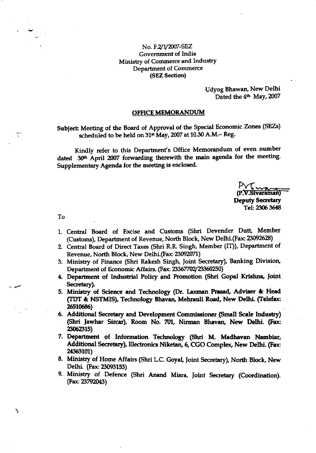#### No. F.2/1/2007-SEZ Government of India Ministry of Commerce and Industry **Department of Commerce** (SEZ Section)

Udyog Bhawan, New Delhi Dated the 4<sup>th</sup> May, 2007

#### **OFFICE MEMORANDUM**

Subject: Meeting of the Board of Approval of the Special Economic Zones (SEZs) scheduled to be held on 31st May, 2007 at 10.30 A.M.- Reg.

Kindly refer to this Department's Office Memorandum of even number dated 30th April 2007 forwarding therewith the main agenda for the meeting. Supplementary Agenda for the meeting is enclosed.

 $P\sqrt{\sqrt{\frac{1}{2}}(P.V.Sivaraman)}$ **Deputy Secretary** Tel: 2306 3648

To

τ

- 1. Central Board of Excise and Customs (Shri Devender Dutt, Member (Customs), Department of Revenue, North Block, New Delhi.(Fax: 23092628)
- 2. Central Board of Direct Taxes (Shri R.R. Singh, Member (IT)), Department of Revenue, North Block, New Delhi.(Fax: 23092071)
- 3. Ministry of Finance (Shri Rakesh Singh, Joint Secretary), Banking Division, Department of Economic Affairs. (Fax: 23367702/23360250)
- 4. Department of Industrial Policy and Promotion (Shri Gopal Krishna, Joint Secretary).
- 5. Ministry of Science and Technology (Dr. Laxman Prasad, Adviser & Head (TDT & NSTMIS), Technology Bhavan, Mehrauli Road, New Delhi. (Telefax: 26510686)
- 6. Additional Secretary and Development Commissioner (Small Scale Industry) (Shri Jawhar Sircar), Room No. 701, Nirman Bhavan, New Delhi. (Fax: 23062315)
- 7. Department of Information Technology (Shri M. Madhavan Nambiar, Additional Secretary), Electronics Niketan, 6, CGO Complex, New Delhi. (Fax: 24363101)
- 8. Ministry of Home Affairs (Shri L.C. Goyal, Joint Secretary), North Block, New Delhi. (Fax: 23093153)
- 9. Ministry of Defence (Shri Anand Misra, Joint Secretary (Coordination). (Fax: 23792043)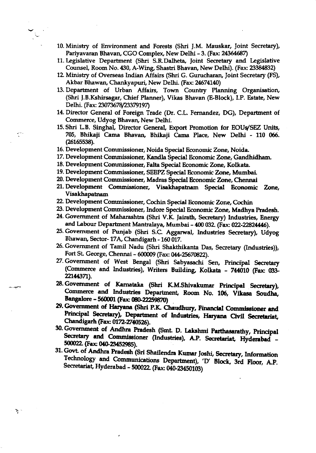- 10. Ministry of Environment and Forests (Shri J.M. Mauskar, Joint Secretary), Pariyavaran Bhavan, CGO Complex, New Delhi - 3. (Fax: 24364687)
- 11. Legislative Department (Shri S.R.Dalheta, Joint Secretary and Legislative Counsel, Room No. 430, A-Wing, Shastri Bhavan, New Delhi). (Fax: 23384832)
- 12. Ministry of Overseas Indian Affairs (Shri G. Gurucharan, Joint Secretary (FS), Akbar Bhawan, Chankyapuri, New Delhi. (Fax: 24674140)
- 13. Department of Urban Affairs, Town Country Planning Organisation, (Shri J.B.Kshirsagar, Chief Planner), Vikas Bhavan (E-Block), I.P. Estate, New Delhi. (Fax: 23073678/23379197)
- 14. Director General of Foreign Trade (Dr. C.L. Fernandez, DG), Department of Commerce, Udyog Bhavan, New Delhi.
- 15. Shri L.B. Singhal, Director General, Export Promotion for EOUs/SEZ Units, 705, Bhikaji Cama Bhavan, Bhikaji Cama Place, New Delhi - 110 066. (26165538).
- 16. Development Commissioner, Noida Special Economic Zone, Noida.
- 17. Development Commissioner, Kandla Special Economic Zone, Gandhidham.
- 18. Development Commissioner, Falta Special Economic Zone, Kolkata.
- 19. Development Commissioner, SEEPZ Special Economic Zone, Mumbai.
- 20. Development Commissioner, Madras Special Economic Zone, Chennai
- 2l. Development Commisaioner, Visakhapatnam Special Economic Zone Visakhapatnam
- 22. Development Commissioner, Cochin Special Economic Zone, Cochin
- 23. Development Commissioner, Indore Special Economic Zone, Madhya Pradesh.
- 24. Government of Maharashtra (Shri V.K. Jairath, Secretary) Industries, Energy and Labour Department Mantralaya, Mumbai - 400 032. (Fax: 022-22824446).
- 25. Government of Punjab (Shri S.C. Agganval, Industries Secretary), Udyog Bhawan, Sector- 17A, Chandigarh - 160 017.
- 26. Government of Tamil Nadu (Shri Shakthikanta Das, Secretary (Industries)), Fort St. George, Chennai - 600009 (Fax: 044-25670822).
- 27. Government of West Bengal (Shri Sabyasachi Sen, Principal Secretary (Commerce and Industries), Writers Building, Kolkata - 744010 (Fax: 033-22144371).
- 28. Government of Karnataka (Shri K.M.Shivakumar Principal Secretary), Commerce and Industries Department, Room No. 106, Vikasa Soudha, Bangalore - 560001 (Fax: 080-22259870)
- 29. Government of Haryana (Shri P.K. Chaudhury, Financial Commissioner and Principal Secretary), Department of Industries, Haryana Civil Secretariat, .<br>30 Chandigarh (Fax: 0172-2740526).
- 30. Government of Andhra Pradesh (Smt. D. Lakshmi Parthasarathy, Principal Secretary and Commissioner (Industries), A.P. Secretariat, Hyderabad -500022. (Fax: 040-23452985).
- 31. Govt. of Andhra Pradesh (Sri Shailendra Kumar Joshi, Secretary, Information Technology and Communications Department), 'D' Block, 3rd Floor, A.P.<br>Secretariat, Hyderabad - 500022. (Fax: 040-23450103)

र, '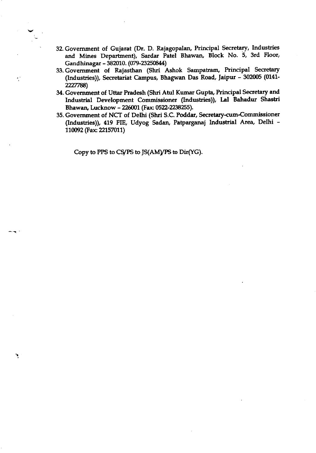- 32. Govemment of Gujarat (Dr. D. Rajagopalan, Principal Secretary, lndustries and Mines Department), Sardar Patel Bhawan, Block No. 5, 3rd Floor, Gandhinagar - 382010. (079-23250844)
- 33. Government of Rajasthan (Shri Ashok Sampatram, Principal Secretary (Industries)), Secretariat Campus, Bhagwan Das Road, laipur - 302005 (0141- 2227788)
- 34. Government of Uttar Pradesh (Shri Atul Kumar Gupta, Principal Secretary and lndustrial Development Commisaioner (Industries)), Lal Bahadur Shastri Bhawan, Lucknow - 226001 (Fax: 0522-2238255).
- 35. Government of NCT of Delhi (Shri S.C. Poddar, Secretary-cum-Commissioner (Industries)), 419 FIE, Udyog Sadan, Patparganaj Industrial Area, Delhi -110092 (Fax: 22157011)

Copy to PPS to CS/PS to JS(AM)/PS to Dir(YG).

٦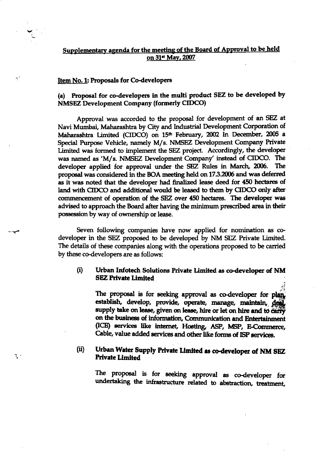# Supplementary agenda for the meeting of the Board of Approval to be held on 31<sup>st</sup> May, 2007

#### Item No. 1: Proposals for Co-developers

 $\gamma^{\prime}$ 

٦.

(a) Proposal for co-developers in the multi product SEZ to be developed by **NMSEZ Development Company (formerly CIDCO)** 

Approval was accorded to the proposal for development of an SEZ at Navi Mumbai, Maharashtra by City and Industrial Development Corporation of Maharashtra Limited (CIDCO) on 15<sup>th</sup> February, 2002 In December, 2005 a Special Purpose Vehicle, namely M/s. NMSEZ Development Company Private Limited was formed to implement the SEZ project. Accordingly, the developer was named as 'M/s. NMSEZ Development Company' instead of CIDCO. The developer applied for approval under the SEZ Rules in March, 2006. The proposal was considered in the BOA meeting held on 17.3.2006 and was deferred as it was noted that the developer had finalized lease deed for 450 hectares of land with CIDCO and additional would be leased to them by CIDCO only after commencement of operation of the SEZ over 450 hectares. The developer was advised to approach the Board after having the minimum prescribed area in their possession by way of ownership or lease.

Seven following companies have now applied for nomination as codeveloper in the SEZ proposed to be developed by NM SEZ Private Limited. The details of these companies along with the operations proposed to be carried by these co-developers are as follows:

#### $(i)$ Urban Infotech Solutions Private Limited as co-developer of NM **SEZ Private Limited**

The proposal is for seeking approval as co-developer for plan. establish, develop, provide, operate, manage, maintain, deal, on the business of information, Communication and Entertainment (ICE) services like internet, Hosting, ASP, MSP, E-Commerce, Cable, value added services and other like forms of ISP services.

#### Urban Water Supply Private Limited as co-developer of NM SEZ (ii) **Private Limited**

The proposal is for seeking approval as co-developer for undertaking the infrastructure related to abstraction, treatment,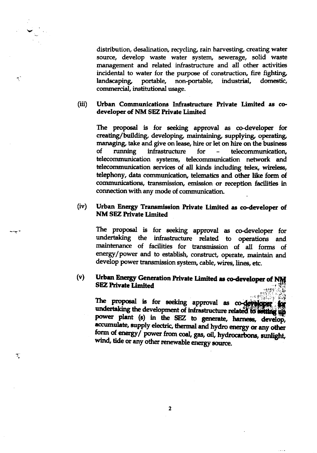$\tilde{\mathcal{A}}_1$ 

 $\sum_{\mathbf{k}}$ 

distribution, desalination, recycling, rain harvesting, creating water source, develop waste water system, sewerage, solid waste management and related infrastructure and all other activities incidental to water for the purpose of construction, fire fighting, portable, non-portable, industrial, domestic, landscaping, commercial, institutional usage.

#### $(iii)$ Urban Communications Infrastructure Private Limited as codeveloper of NM SEZ Private Limited

The proposal is for seeking approval as co-developer for creating/building, developing, maintaining, supplying, operating, managing, take and give on lease, hire or let on hire on the business infrastructure running 0f for telecommunication.  $\equiv$ telecommunication systems, telecommunication network and telecommunication services of all kinds including telex, wireless, telephony, data communication, telematics and other like form of communications, transmission, emission or reception facilities in connection with any mode of communication.

#### $(iv)$ Urban Energy Transmission Private Limited as co-developer of **NM SEZ Private Limited**

The proposal is for seeking approval as co-developer for undertaking the infrastructure related to operations and maintenance of facilities for transmission of all forms of energy/power and to establish, construct, operate, maintain and develop power transmission system, cable, wires, lines, etc.

#### Urban Energy Generation Private Limited as co-developer of NM  $(v)$ **SEZ Private Limited**

The proposal is for seeking approval as co-developer for undertaking the development of infrastructure related to setting up power plant (s) in the SEZ to generate, harness, develop, accumulate, supply electric, thermal and hydro energy or any other form of energy/ power from coal, gas, oil, hydrocarbons, sunlight, wind, tide or any other renewable energy source.

 $\overline{2}$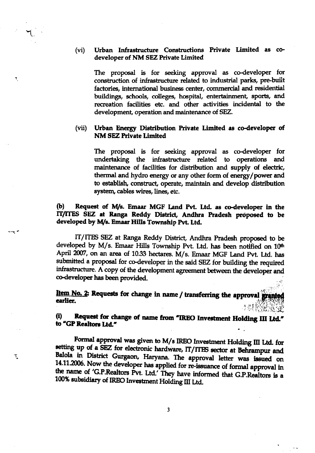#### Urban Infrastructure Constructions Private Limited as co- $(vi)$ developer of NM SEZ Private Limited

 $\blacktriangledown$ 

T.

The proposal is for seeking approval as co-developer for construction of infrastructure related to industrial parks, pre-built factories, international business center, commercial and residential buildings, schools, colleges, hospital, entertainment, sports, and recreation facilities etc. and other activities incidental to the development, operation and maintenance of SEZ.

#### Urban Energy Distribution Private Limited as co-developer of  $(vii)$ **NM SEZ Private Limited**

The proposal is for seeking approval as co-developer for undertaking the infrastructure related to operations and maintenance of facilities for distribution and supply of electric, thermal and hydro energy or any other form of energy/power and to establish, construct, operate, maintain and develop distribution system, cables wires, lines, etc.

#### Request of M/s. Emaar MGF Land Pvt. Ltd. as co-developer in the  $\mathbf{b}$ IT/ITES SEZ at Ranga Reddy District, Andhra Pradesh proposed to be developed by M/s. Emaar Hills Township Pvt. Ltd.

IT/ITES SEZ at Ranga Reddy District, Andhra Pradesh proposed to be developed by M/s. Emaar Hills Township Pvt. Ltd. has been notified on 10th April 2007, on an area of 10.33 hectares. M/s. Emaar MGF Land Pvt. Ltd. has submitted a proposal for co-developer in the said SEZ for building the required infrastructure. A copy of the development agreement between the developer and co-developer has been provided.

Item No. 2: Requests for change in name / transferring the approval granted earlier.

Request for change of name from "IREO Investment Holding III Ltd."  $\bf{u}$ to "GP Realtors Ltd."

Formal approval was given to M/s IREO Investment Holding III Ltd. for setting up of a SEZ for electronic hardware, IT/ITES sector at Behrampur and Balola in District Gurgaon, Haryana. The approval letter was issued on 14.11.2006. Now the developer has applied for re-issuance of formal approval in the name of 'G.P.Realtors Pvt. Ltd.' They have informed that G.P.Realtors is a 100% subsidiary of IREO Investment Holding III Ltd.

 $\overline{\mathbf{3}}$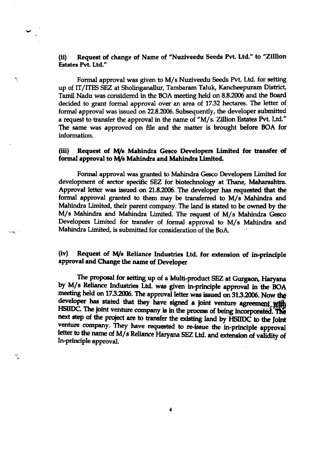# (ii) Request of change of Name of "Nuziveedu Seeds Pvt. Ltd." to "Zillion Estates PVt. Ltd."

 $\mathcal{V}_\mathrm{c}$ 

الترجيح

٦

Formal approval was given to M/s Nuziveedu Seeds Pvt. Ltd. for setting up of IT/ITES SEZ at Shotinganallur, Tambaram Taluk, Kancheepuram District, Tamil Nadu was considered in the BOA meeting held on 8.8.2006 and the Board decided to grant formal approval over an area of 17.32 hectares. The letter of formal approval was issued on 22.8.2006. Subsequently, the developer submitted a request to transfer the approval in the name of "M/s. Zillion Estates Pvt. Ltd." The same was approved on file and the matter is brought before BOA for information.

### (iii) Request of M/s Mahindra Gesco Developers Limited for transfer of formal approval to M/s Mahindra and Mahindra Limited.

Formal approval was granted to Mahindra Gesco Developers Limited for development of sector specific SEZ for biotechnology at Thane, Maharashtra. Approval letter was issued on 21.8.2006. The developer has requested that the formal approval granted to them may be transferred to M/s Mahindra and Mahindra Limited, their parent company. The land is stated to be owned by the M/s Mahindra and Mahindra Limited. The request of M/s Mahindra Gesco Developers Limited for transfer of formal approval to M/s Mahindra and Mahindra Limited, is submitted for consideration of the BoA.

## (iv) Request of M/s Reliance Industries Ltd. for extension of in-principle approval and Change the name of Developer

The proposal for setting up of a Multi-product SEZ at Gurgaon, Haryana by M/s Reliance Industries Ltd. was given in-principle approval in the BOA meeting held on 17.3.2006. The approval letter was issued on 31.3.2006. Now the developer has stated that they have signed a joint venture agreement with HSIIDC. The joint venture company is in the process of being incorporated. The next step of the project are to transfer the existing land by HSIIDC to the Joint venture company. They have requested to re-issue the in-principle approval letter to the name of M/s Reliance Haryana SEZ Ltd. and extension of validity of In-principle approval.

4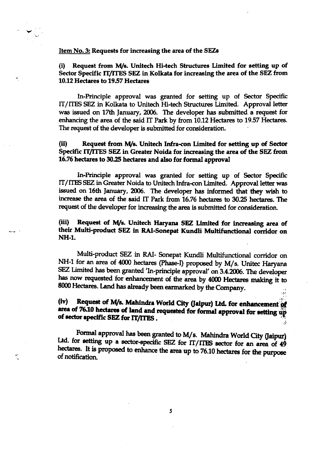#### Item No. 3: Requests for increasing the area of the SEZs

## (i) Request from M/s. Unitech Hi-tech Structures Limited for setting up of Sector Specific IT/ITES SEZ in Kolkata for increasing the area of the SEZ from 10.12 Hectares to 1957 Hectares

ln-Principle approval was granted for setting up of Sector Specific IT/ITES SEZ in Kolkata to Unitech Hi-tech Structures Limited. Approval letter was issued on 17th |anuary,2006. The developer has submitted a request for enhancing the area of the said IT Park by from 10.12 Hectares to 19.57 Hectares. The request of the developer is submitted for consideration.

## (ii) Request from M/s. Unitech Infra-con Limited for setting up of Sector Specific IT/ITES SEZ in Greater Noida for increasing the area of the SEZ from 16.75 hectares to 3025 hectarea and also for formal approval

In-Principle approval was granted for setting up of Sector Specific IT/ITES SEZ in Greater Noida to Unitech Infra-con Limited. Approval letter was issued on 16th January, 2006. The developer has informed that they wish to increase the area of the said IT Park from 16.76 hectares to 30.25 hectares. The request of the developer for increasing the area is submitted for consideration.

## (iii) Request of M/s. Unitech Haryana SEZ Limited for increasing area of their Multi-product SEZ in RAI-Sonepat Kundli Multifunctional corridor on NH-1.

Multi-product SEZ in RAI- Sonepat Kundli Multifunctional corridor on NH-1 for an area of 4000 hectares (Phase-I) proposed by M/s. Unitec Haryana SEZ Limited has been granted 'In-principle approval' on 3.4.2006. The developer has now requested for enhancement of the area by 4000 Hectares making it to 8000 Hectares. Land has already been earmarked by the Company.

# (iv) - Request of M/s. Mahindra World City (Jaipur) Ltd. for enhancement of area of 76.10 hectares of land and requested for formal approval for setting up of sector specific SEZ for IT/ITES. .i

 $, 42$ 

Formal approval has been granted to M/s. Mahindra World City (Jaipur)<br>Ltd. for setting up a sector-specific SEZ for IT/ITES sector for an area of 49 hectares. It is proposed to enhance the area up to 76.10 hectares for the purpose of notification.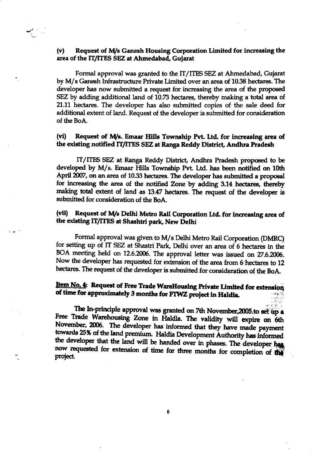## (v) Request of M/s Ganesh Housing Corporation Limited for increasing the area of the IT/ITES SEZ at Ahmedabad, Gujarat

Formal approval was granted to the IT/ITES SEZ at Ahmedabad, Gujarat by M/s Ganesh Infrastructure Private Limited over an area of 10.38 hectares. The developer has now submitted a request for increasing the area of the proposed SEZ by adding additional land of 10.73 hectares, thereby making a total area of 21.11 hectares. The developer has also submitted copies of the sale deed for additional extent of land. Request of the developer is submitted for consideration of the BoA.

# (vi) Request of M/s. Emaar Hills Township Pvt. Ltd. for increasing area of the existing notified IT/ITES SEZ at Ranga Reddy District, Andhra Pradesh

IT/ITES SEZ at Ranga Reddy District, Andhra Pradesh proposed to be developed by M/s. Emaar Hills Township Pvt. Ltd. has been notified on 10th April 2007, on an area of 10.33 hectares. The developer has submitted a proposal for increasing the area of the notified Zone by adding 3.14 hectares, thereby making total extent of land as 13.47 hectares. The request of the developer is submitted for consideration of the BoA.

# (vii) Request of M/s Delhi Metro Rail Corporation Ltd. for increasing area of the existing IT/ITES at Shashtri park, New Delhi

. Formal approval was given to M/s Delhi Metro Rail Corporation (DMRC) for setting up of IT SEZ at Shastri Park, Delhi over an area of 6 hectares in th BOA meeting held on 12.6.2006. The approval letter was issued on 27.6.2006. Now the developer has requested for extension of the area from 6 hectares to 12 hectares. The request of the developer is submitted for consideration of the BoA.

#### Item No. 4: Request of Free Trade WareHousing Private Limited for extension of time for approximately 3 months for FIWZ project in Haldia. , where  $\mathcal{C}_\mathbf{a}$

The In-principle approval was granted on 7th November, 2005.to set up a Free Trade Warehousing Zone in Haldia. The validity will expire on 6th November, 2006. The developer has informed that they have made payment towards 25% of the land premium. Haldia Development Authority has informed the developer that the land will be handed over in phases. The developer has now requested for extension of time for three months for completion of the project.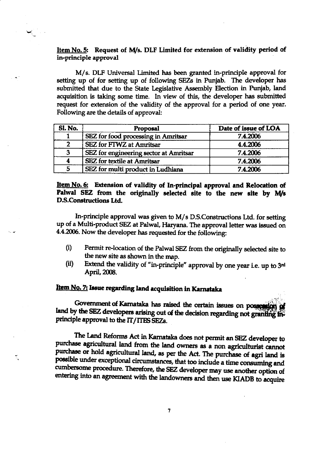## Item No. 5: Request of M/s. DLF Limited for extension of validity period of in-principle approval

M/s. DLF Universal Limited has been granted in-principle approval for setting up of for setting up of following SEZs in Punjab. The developer has submitted that due to the State Legislative Assembly Election in Punjab, land acquisition is taking some time. In view of this, the developer has submitted request for extension of the validity of the approval for a period of one year. Following are the details of approval:

| <b>Sl. No.</b> | Proposal                               | Date of issue of LOA |
|----------------|----------------------------------------|----------------------|
|                | SEZ for food processing in Amritsar    | 7.4.2006             |
| າ              | <b>SEZ</b> for FTWZ at Amritsar        | 4.4.2006             |
| 3              | SEZ for engineering sector at Amritsar | 7.4.2006             |
| 4              | <b>SEZ</b> for textile at Amritsar     | 7.4.2006             |
| 5              | SEZ for multi product in Ludhiana      | 7.4.2006             |

Item No. 6: Extension of validity of In-principal approval and Relocation of Palwal SEZ from the originally selected site to the new site by M/s **D.S.Constructions Ltd.** 

In-principle approval was given to M/s D.S.Constructions Ltd. for setting up of a Multi-product SEZ at Palwal, Haryana. The approval letter was issued on 4.4.2006. Now the developer has requested for the following:

- $(i)$ Permit re-location of the Palwal SEZ from the originally selected site to the new site as shown in the map.
- Extend the validity of "in-principle" approval by one year i.e. up to 3rd  $(ii)$ April, 2008.

# Item No. 7: Issue regarding land acquisition in Karnataka

্

Government of Karnataka has raised the certain issues on possession of land by the SEZ developers arising out of the decision regarding not granting in principle approval to the IT/ITES SEZs.

The Land Reforms Act in Karnataka does not permit an SEZ developer to purchase agricultural land from the land owners as a non agriculturist cannot purchase or hold agricultural land, as per the Act. The purchase of agri land is possible under exceptional circumstances, that too include a time consuming and cumbersome procedure. Therefore, the SEZ developer may use another option of entering into an agreement with the landowners and then use KIADB to acquire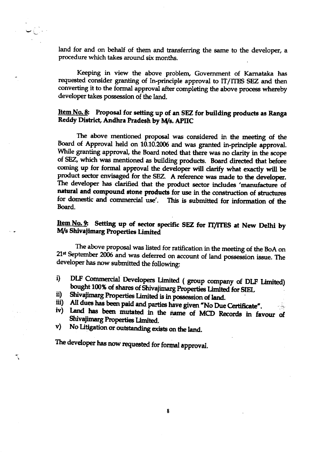land for and on behalf of them and transferring the same to the developer, a procedure which takes around six months.

Keeping in view the above problem, Government of Karnataka has requested consider granting of In-principle approval to IT/ITES SEZ and then converting it to the formal approval after completing the above process whereby developer takes possession of the land.

# Item No. 8: Proposal for setting up of an SEZ for building products as Ranga Reddy District, Andhra Pradesh by M/s. APIIC

The above mentioned proposal was considered in the meeting of the Board of Approval held on 10.10.2006 and was granted in-principle approval. While granting approval, the Board noted that there was no clarity in the scope of SEZ, which was mentioned as building products. Board directed that before coming up for formal approval the developer will clarify what exactly will be product sector envisaged for the SEZ. A reference was made to the developer. The developer has clarified that the product sector includes 'manufacture of natural and compound stone products for use in the construction of structures for domestic and commercial use'. This is submitted for information of the Board.

# Item No. 9: Setting up of sector specific SEZ for IT/ITES at New Delhi by M/s Shivajimarg Properties Limited

The above proposal was listed for ratification in the meeting of the BoA on 21<sup>st</sup> September 2006 and was deferred on account of land possession issue. The developer has now submitted the following:

- DLF Commercial Developers Limited (group company of DLF Limited) i) bought 100% of shares of Shivajimarg Properties Limited for SIEL
- Shivajimarg Properties Limited is in possession of land. ii)
- All dues has been paid and parties have given "No Due Certificate". iii)
- Land has been mutated in the name of MCD Records in favour of iv) Shivajimarg Properties Limited.
- No Litigation or outstanding exists on the land.  $\mathbf{v})$

The developer has now requested for formal approval.

٦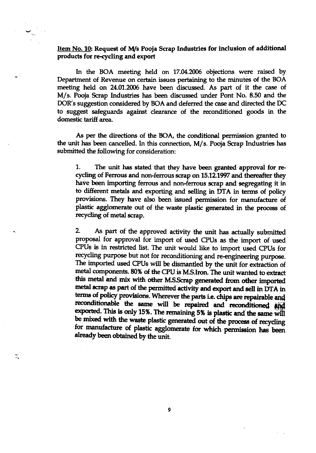Item No. 10: Request of M/s Pooja Scrap Industries for inclusion of additional products for re-cycling and export

In the BOA meeting held on 17.04.2006 objections were raised by Department of Revenue on certain issues pertaining to the minutes of the BOA meeting held on 24.01.2006 have been discussed. As part of it the case of M/s. Pooja Scrap Industries has been discussed under Pont No. 8.50 and the DOR's suggestion considered by BOA and deferred the case and directed the DC to suggest safeguards against clearance of the reconditioned goods in the domestic tariff area.

As per the directions of the BOA, the conditional permission granted to the unit has been cancelled. In this connection, M/s. Pooja Scrap Industries has submitted the following for consideration:

The unit has stated that they have been granted approval for re-1. cycling of Ferrous and non-ferrous scrap on 15.12.1997 and thereafter they have been importing ferrous and non-ferrous scrap and segregating it in to different metals and exporting and selling in DTA in terms of policy provisions. They have also been issued permission for manufacture of plastic agglomerate out of the waste plastic generated in the process of recycling of metal scrap.

As part of the approved activity the unit has actually submitted  $2.$ proposal for approval for import of used CPUs as the import of used CPUs is in restricted list. The unit would like to import used CPUs for recycling purpose but not for reconditioning and re-engineering purpose. The imported used CPUs will be dismantled by the unit for extraction of metal components. 80% of the CPU is M.S.Iron. The unit wanted to extract this metal and mix with other M.S.Scrap generated from other imported metal scrap as part of the permitted activity and export and sell in DTA in terms of policy provisions. Wherever the parts i.e. chips are repairable and reconditionable the same will be repaired and reconditioned and exported. This is only 15%. The remaining 5% is plastic and the same will be mixed with the waste plastic generated out of the process of recycling for manufacture of plastic agglomerate for which permission has been already been obtained by the unit.

9

P,